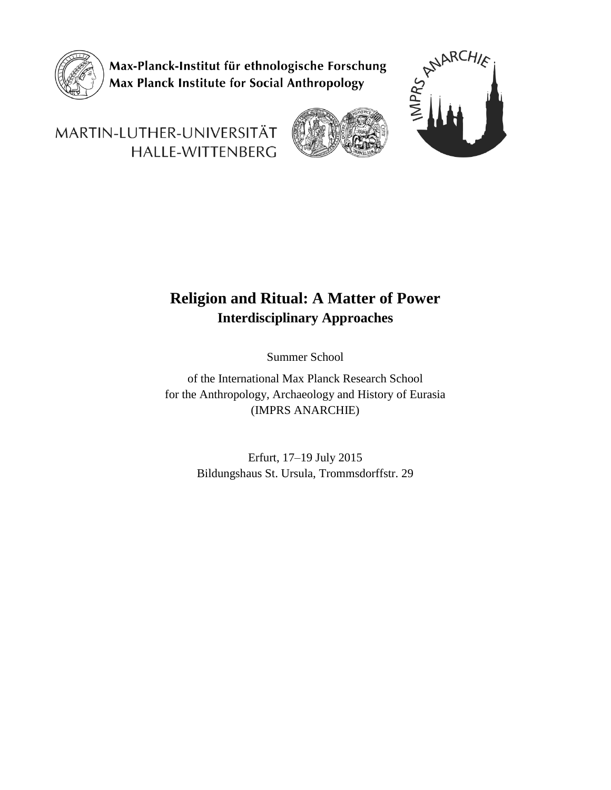

Max-Planck-Institut für ethnologische Forschung Max Planck Institute for Social Anthropology



# MARTIN-LUTHER-UNIVERSITÄT HALLE-WITTENBERG

## **Religion and Ritual: A Matter of Power Interdisciplinary Approaches**

Summer School

of the International Max Planck Research School for the Anthropology, Archaeology and History of Eurasia (IMPRS ANARCHIE)

> Erfurt, 17–19 July 2015 Bildungshaus St. Ursula, Trommsdorffstr. 29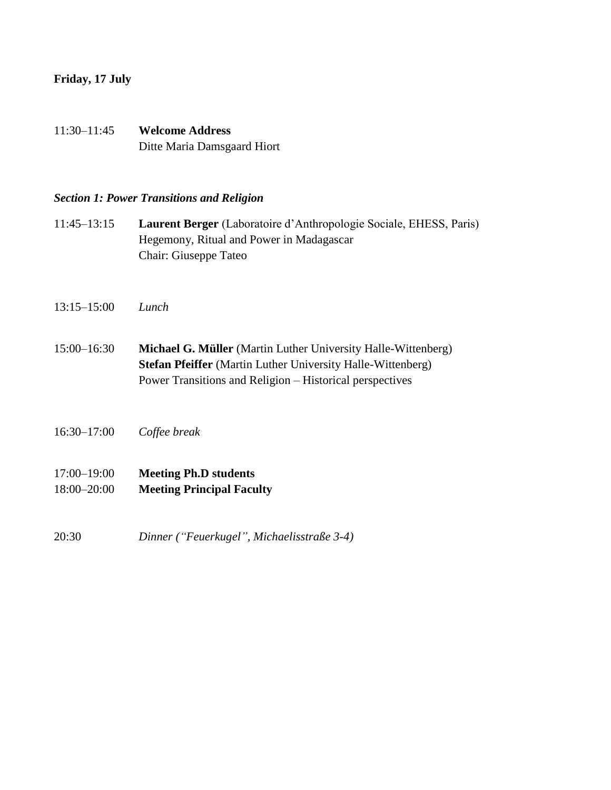## **Friday, 17 July**

11:30–11:45 **Welcome Address** Ditte Maria Damsgaard Hiort

## *Section 1: Power Transitions and Religion*

- 11:45–13:15 **Laurent Berger** (Laboratoire d'Anthropologie Sociale, EHESS, Paris) Hegemony, Ritual and Power in Madagascar Chair: Giuseppe Tateo
- 13:15–15:00 *Lunch*
- 15:00–16:30 **Michael G. Müller** (Martin Luther University Halle-Wittenberg) **Stefan Pfeiffer** (Martin Luther University Halle-Wittenberg) Power Transitions and Religion – Historical perspectives
- 16:30–17:00 *Coffee break*
- 17:00–19:00 **Meeting Ph.D students**  18:00–20:00 **Meeting Principal Faculty**
- 20:30 *Dinner ("Feuerkugel", Michaelisstraße 3-4)*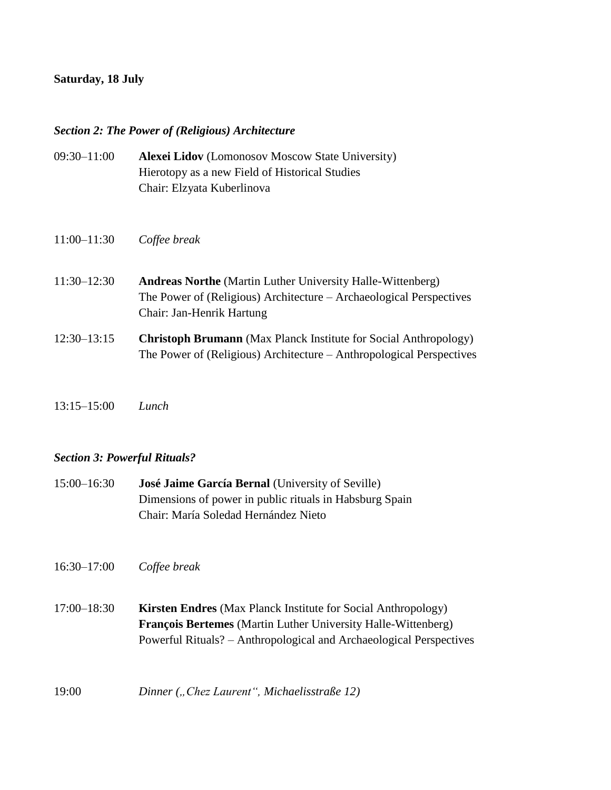## **Saturday, 18 July**

### *Section 2: The Power of (Religious) Architecture*

- 09:30–11:00 **Alexei Lidov** (Lomonosov Moscow State University) Hierotopy as a new Field of Historical Studies Chair: Elzyata Kuberlinova
- 11:00–11:30 *Coffee break*
- 11:30–12:30 **Andreas Northe** (Martin Luther University Halle-Wittenberg) The Power of (Religious) Architecture – Archaeological Perspectives Chair: Jan-Henrik Hartung
- 12:30–13:15 **Christoph Brumann** (Max Planck Institute for Social Anthropology) The Power of (Religious) Architecture – Anthropological Perspectives
- 13:15–15:00 *Lunch*

## *Section 3: Powerful Rituals?*

- 15:00–16:30 **José Jaime García Bernal** (University of Seville) Dimensions of power in public rituals in Habsburg Spain Chair: María Soledad Hernández Nieto
- 16:30–17:00 *Coffee break*
- 17:00–18:30 **Kirsten Endres** (Max Planck Institute for Social Anthropology) **François Bertemes** (Martin Luther University Halle-Wittenberg) Powerful Rituals? – Anthropological and Archaeological Perspectives
- 19:00 *Dinner* ("*Chez Laurent"*, *Michaelisstraße* 12)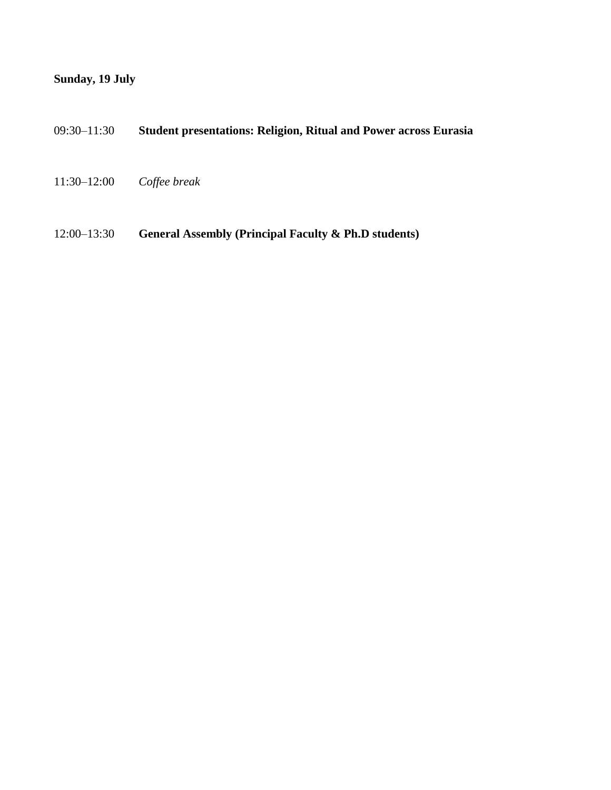## **Sunday, 19 July**

- 09:30–11:30 **Student presentations: Religion, Ritual and Power across Eurasia**
- 11:30–12:00 *Coffee break*
- 12:00–13:30 **General Assembly (Principal Faculty & Ph.D students)**